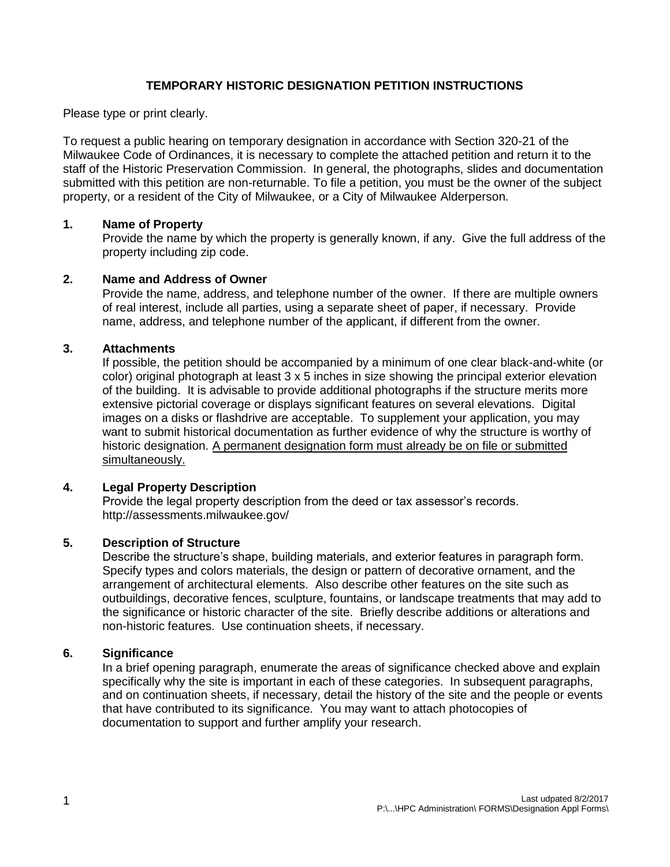## **TEMPORARY HISTORIC DESIGNATION PETITION INSTRUCTIONS**

Please type or print clearly.

To request a public hearing on temporary designation in accordance with Section 320-21 of the Milwaukee Code of Ordinances, it is necessary to complete the attached petition and return it to the staff of the Historic Preservation Commission. In general, the photographs, slides and documentation submitted with this petition are non-returnable. To file a petition, you must be the owner of the subject property, or a resident of the City of Milwaukee, or a City of Milwaukee Alderperson.

### **1. Name of Property**

Provide the name by which the property is generally known, if any. Give the full address of the property including zip code.

### **2. Name and Address of Owner**

Provide the name, address, and telephone number of the owner. If there are multiple owners of real interest, include all parties, using a separate sheet of paper, if necessary. Provide name, address, and telephone number of the applicant, if different from the owner.

#### **3. Attachments**

If possible, the petition should be accompanied by a minimum of one clear black-and-white (or color) original photograph at least 3 x 5 inches in size showing the principal exterior elevation of the building. It is advisable to provide additional photographs if the structure merits more extensive pictorial coverage or displays significant features on several elevations. Digital images on a disks or flashdrive are acceptable. To supplement your application, you may want to submit historical documentation as further evidence of why the structure is worthy of historic designation. A permanent designation form must already be on file or submitted simultaneously.

### **4. Legal Property Description**

Provide the legal property description from the deed or tax assessor's records. http://assessments.milwaukee.gov/

### **5. Description of Structure**

Describe the structure's shape, building materials, and exterior features in paragraph form. Specify types and colors materials, the design or pattern of decorative ornament, and the arrangement of architectural elements. Also describe other features on the site such as outbuildings, decorative fences, sculpture, fountains, or landscape treatments that may add to the significance or historic character of the site. Briefly describe additions or alterations and non-historic features. Use continuation sheets, if necessary.

#### **6. Significance**

In a brief opening paragraph, enumerate the areas of significance checked above and explain specifically why the site is important in each of these categories. In subsequent paragraphs, and on continuation sheets, if necessary, detail the history of the site and the people or events that have contributed to its significance. You may want to attach photocopies of documentation to support and further amplify your research.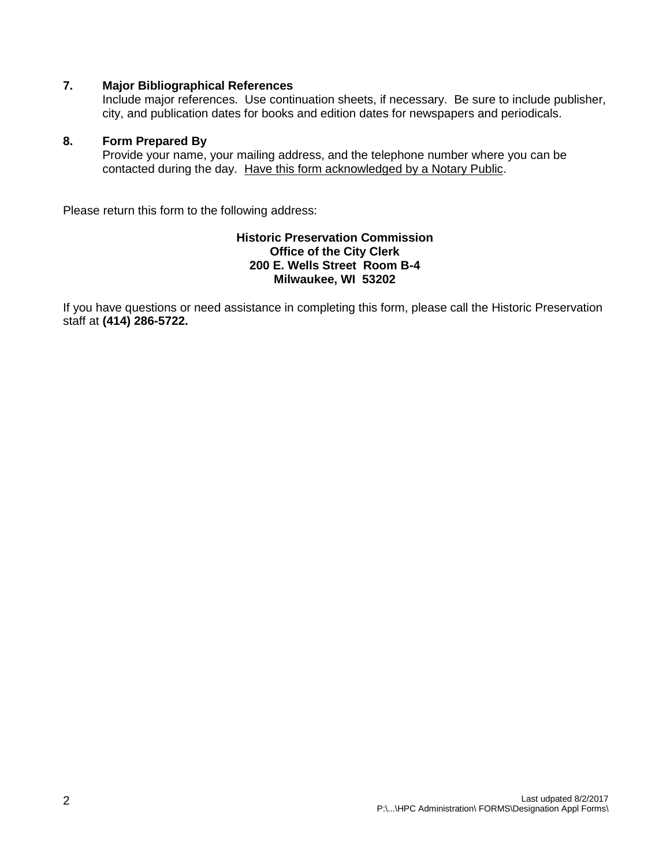### **7. Major Bibliographical References**

Include major references. Use continuation sheets, if necessary. Be sure to include publisher, city, and publication dates for books and edition dates for newspapers and periodicals.

### **8. Form Prepared By**

Provide your name, your mailing address, and the telephone number where you can be contacted during the day. Have this form acknowledged by a Notary Public.

Please return this form to the following address:

#### **Historic Preservation Commission Office of the City Clerk 200 E. Wells Street Room B-4 Milwaukee, WI 53202**

If you have questions or need assistance in completing this form, please call the Historic Preservation staff at **(414) 286-5722.**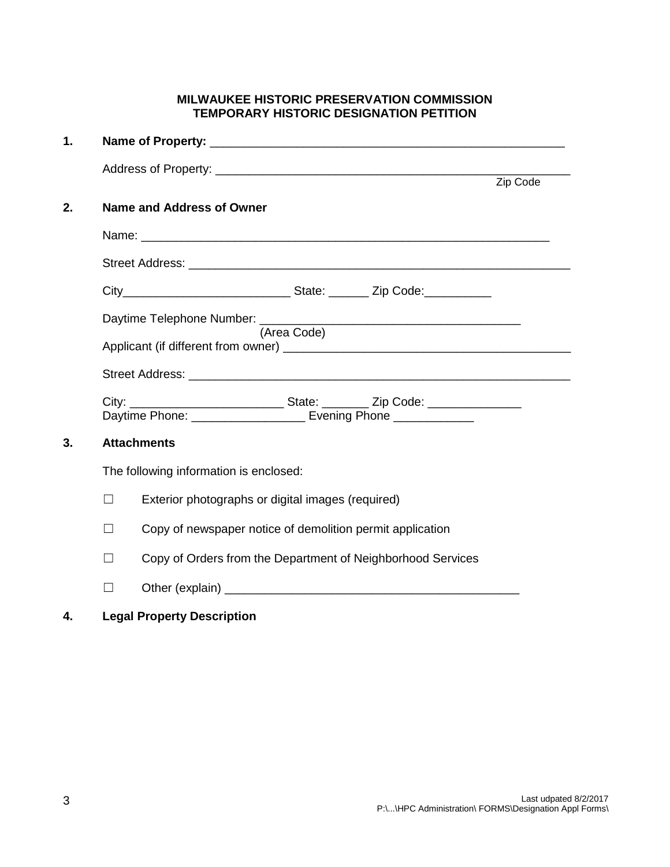# **MILWAUKEE HISTORIC PRESERVATION COMMISSION TEMPORARY HISTORIC DESIGNATION PETITION**

| 1. |                                        |                                                                                                                                                        |          |  |  |  |  |
|----|----------------------------------------|--------------------------------------------------------------------------------------------------------------------------------------------------------|----------|--|--|--|--|
|    |                                        |                                                                                                                                                        | Zip Code |  |  |  |  |
| 2. |                                        | <b>Name and Address of Owner</b>                                                                                                                       |          |  |  |  |  |
|    |                                        |                                                                                                                                                        |          |  |  |  |  |
|    |                                        |                                                                                                                                                        |          |  |  |  |  |
|    |                                        |                                                                                                                                                        |          |  |  |  |  |
|    | Daytime Telephone Number: ________     |                                                                                                                                                        |          |  |  |  |  |
|    |                                        | (Area Code)                                                                                                                                            |          |  |  |  |  |
|    |                                        |                                                                                                                                                        |          |  |  |  |  |
|    |                                        | City: _________________________________State: ___________ Zip Code: _____________<br>Daytime Phone: ______________________ Evening Phone _____________ |          |  |  |  |  |
| 3. | <b>Attachments</b>                     |                                                                                                                                                        |          |  |  |  |  |
|    | The following information is enclosed: |                                                                                                                                                        |          |  |  |  |  |
|    | П                                      | Exterior photographs or digital images (required)                                                                                                      |          |  |  |  |  |
|    | $\Box$                                 | Copy of newspaper notice of demolition permit application                                                                                              |          |  |  |  |  |
|    | П                                      | Copy of Orders from the Department of Neighborhood Services                                                                                            |          |  |  |  |  |
|    |                                        |                                                                                                                                                        |          |  |  |  |  |

# **4. Legal Property Description**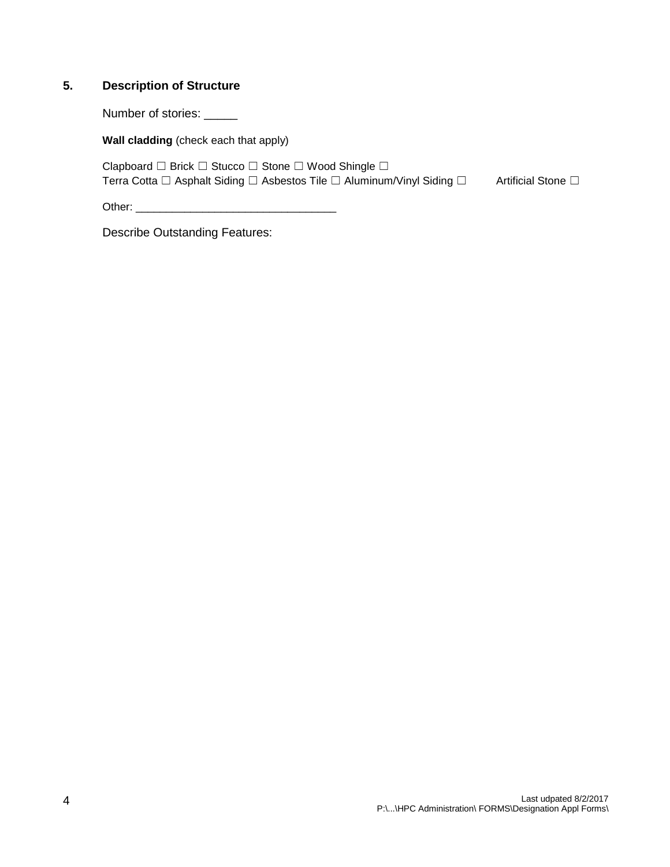## **5. Description of Structure**

Number of stories: \_\_\_\_\_

**Wall cladding** (check each that apply)

Clapboard ☐ Brick ☐ Stucco ☐ Stone ☐ Wood Shingle ☐ Terra Cotta □ Asphalt Siding □ Asbestos Tile □ Aluminum/Vinyl Siding □ Artificial Stone □

Other: \_\_\_\_\_\_\_\_\_\_\_\_\_\_\_\_\_\_\_\_\_\_\_\_\_\_\_\_\_\_\_\_\_

Describe Outstanding Features: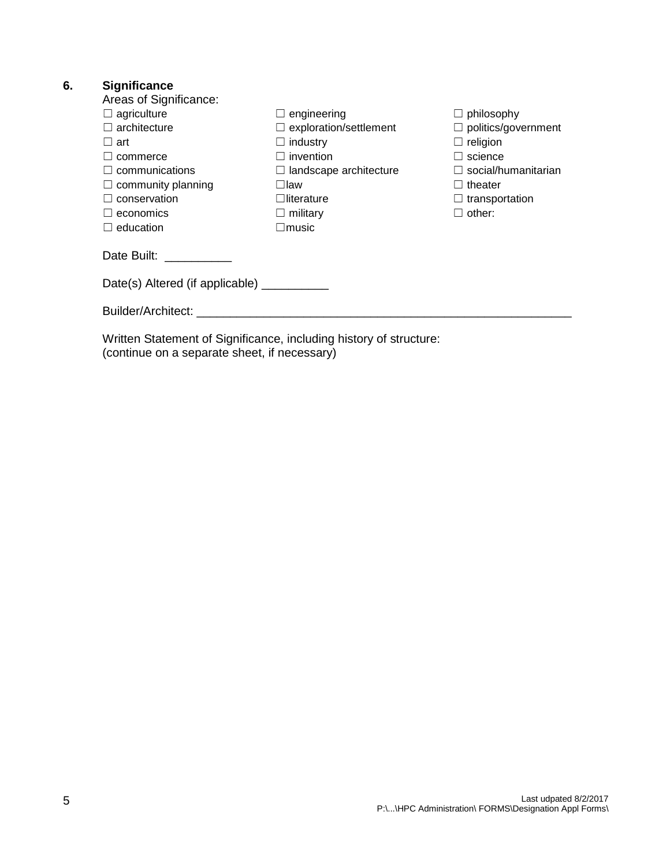# **6. Significance**

| Areas of Significance:                                             |                               |                            |  |  |  |  |  |  |
|--------------------------------------------------------------------|-------------------------------|----------------------------|--|--|--|--|--|--|
| $\Box$ agriculture                                                 | $\Box$ engineering            | $\Box$ philosophy          |  |  |  |  |  |  |
| $\Box$ architecture                                                | $\Box$ exploration/settlement | $\Box$ politics/government |  |  |  |  |  |  |
| $\sqcup$ art                                                       | $\Box$ industry               | $\Box$ religion            |  |  |  |  |  |  |
| commerce                                                           | $\Box$ invention              | science                    |  |  |  |  |  |  |
| $\Box$ communications                                              | $\Box$ landscape architecture | $\Box$ social/humanitarian |  |  |  |  |  |  |
| $\Box$ community planning                                          | ⊟law                          | $\Box$ theater             |  |  |  |  |  |  |
| $\Box$ conservation                                                | $\Box$ literature             | $\Box$ transportation      |  |  |  |  |  |  |
| $\Box$ economics                                                   | $\Box$ military               | $\Box$ other:              |  |  |  |  |  |  |
| $\Box$ education                                                   | $\square$ music               |                            |  |  |  |  |  |  |
| Date Built: ___________                                            |                               |                            |  |  |  |  |  |  |
| Date(s) Altered (if applicable)                                    |                               |                            |  |  |  |  |  |  |
|                                                                    |                               |                            |  |  |  |  |  |  |
| Written Statement of Significance, including history of structure: |                               |                            |  |  |  |  |  |  |

(continue on a separate sheet, if necessary)